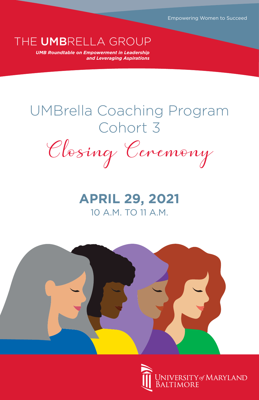Empowering Women to Succeed

*UMB Roundtable on Empowerment in Leadership*  THE UMBRELLA GROUP

*and Leveraging Aspirations*

# UMBrella Coaching Program Cohort 3

Closing Ceremony

# **APRIL 29, 2021** 10 A.M. TO 11 A.M.



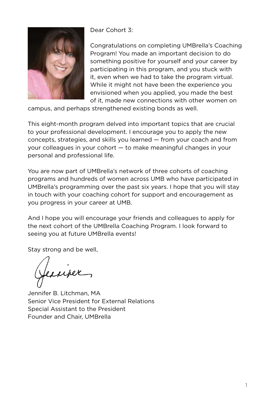

Dear Cohort 3:

Congratulations on completing UMBrella's Coaching Program! You made an important decision to do something positive for yourself and your career by participating in this program, and you stuck with it, even when we had to take the program virtual. While it might not have been the experience you envisioned when you applied, you made the best of it, made new connections with other women on

campus, and perhaps strengthened existing bonds as well.

This eight-month program delved into important topics that are crucial to your professional development. I encourage you to apply the new concepts, strategies, and skills you learned — from your coach and from your colleagues in your cohort — to make meaningful changes in your personal and professional life.

You are now part of UMBrella's network of three cohorts of coaching programs and hundreds of women across UMB who have participated in UMBrella's programming over the past six years. I hope that you will stay in touch with your coaching cohort for support and encouragement as you progress in your career at UMB.

And I hope you will encourage your friends and colleagues to apply for the next cohort of the UMBrella Coaching Program. I look forward to seeing you at future UMBrella events!

Stay strong and be well,

terriper

Jennifer B. Litchman, MA Senior Vice President for External Relations Special Assistant to the President Founder and Chair, UMBrella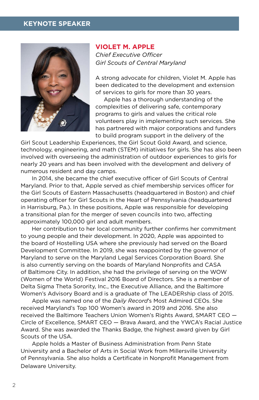# **KEYNOTE SPEAKER**



**VIOLET M. APPLE**  *Chief Executive Officer Girl Scouts of Central Maryland* 

A strong advocate for children, Violet M. Apple has been dedicated to the development and extension of services to girls for more than 30 years.

 Apple has a thorough understanding of the complexities of delivering safe, contemporary programs to girls and values the critical role volunteers play in implementing such services. She has partnered with major corporations and funders to build program support in the delivery of the

Girl Scout Leadership Experiences, the Girl Scout Gold Award, and science, technology, engineering, and math (STEM) initiatives for girls. She has also been involved with overseeing the administration of outdoor experiences to girls for nearly 20 years and has been involved with the development and delivery of numerous resident and day camps.

In 2014, she became the chief executive officer of Girl Scouts of Central Maryland. Prior to that, Apple served as chief membership services officer for the Girl Scouts of Eastern Massachusetts (headquartered in Boston) and chief operating officer for Girl Scouts in the Heart of Pennsylvania (headquartered in Harrisburg, Pa.). In these positions, Apple was responsible for developing a transitional plan for the merger of seven councils into two, affecting approximately 100,000 girl and adult members.

Her contribution to her local community further confirms her commitment to young people and their development. In 2020, Apple was appointed to the board of Hostelling USA where she previously had served on the Board Development Committee. In 2019, she was reappointed by the governor of Maryland to serve on the Maryland Legal Services Corporation Board. She is also currently serving on the boards of Maryland Nonprofits and CASA of Baltimore City. In addition, she had the privilege of serving on the WOW (Women of the World) Festival 2016 Board of Directors. She is a member of Delta Sigma Theta Sorority, Inc., the Executive Alliance, and the Baltimore Women's Advisory Board and is a graduate of The LEADERship class of 2015.

Apple was named one of the *Daily Record*'s Most Admired CEOs. She received Maryland's Top 100 Women's award in 2019 and 2016. She also received the Baltimore Teachers Union Women's Rights Award, SMART CEO — Circle of Excellence, SMART CEO — Brava Award, and the YWCA's Racial Justice Award. She was awarded the Thanks Badge, the highest award given by Girl Scouts of the USA.

Apple holds a Master of Business Administration from Penn State University and a Bachelor of Arts in Social Work from Millersville University of Pennsylvania. She also holds a Certificate in Nonprofit Management from Delaware University.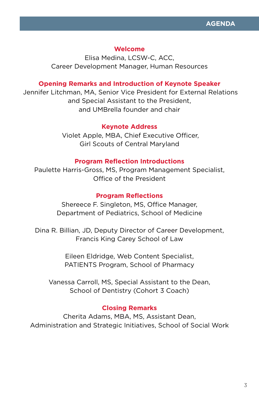# **Welcome**

Elisa Medina, LCSW-C, ACC, Career Development Manager, Human Resources

# **Opening Remarks and Introduction of Keynote Speaker**

 Jennifer Litchman, MA, Senior Vice President for External Relations and Special Assistant to the President, and UMBrella founder and chair

# **Keynote Address**

 Violet Apple, MBA, Chief Executive Officer, Girl Scouts of Central Maryland

# **Program Reflection Introductions**

Paulette Harris-Gross, MS, Program Management Specialist, Office of the President

# **Program Reflections**

Shereece F. Singleton, MS, Office Manager, Department of Pediatrics, School of Medicine

Dina R. Billian, JD, Deputy Director of Career Development, Francis King Carey School of Law

> Eileen Eldridge, Web Content Specialist, PATIENTS Program, School of Pharmacy

Vanessa Carroll, MS, Special Assistant to the Dean, School of Dentistry (Cohort 3 Coach)

# **Closing Remarks**

Cherita Adams, MBA, MS, Assistant Dean, Administration and Strategic Initiatives, School of Social Work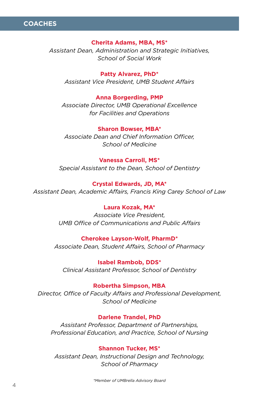

#### **Cherita Adams, MBA, MS\***

*Assistant Dean, Administration and Strategic Initiatives, School of Social Work*

**Patty Alvarez, PhD\*** *Assistant Vice President, UMB Student Affairs*

**Anna Borgerding, PMP** *Associate Director, UMB Operational Excellence for Facilities and Operations*

**Sharon Bowser, MBA\*** *Associate Dean and Chief Information Officer, School of Medicine*

## **Vanessa Carroll, MS\***

*Special Assistant to the Dean, School of Dentistry*

**Crystal Edwards, JD, MA\*** *Assistant Dean, Academic Affairs, Francis King Carey School of Law*

#### **Laura Kozak, MA\***

*Associate Vice President, UMB Office of Communications and Public Affairs*

#### **Cherokee Layson-Wolf, PharmD\***

*Associate Dean, Student Affairs, School of Pharmacy*

**Isabel Rambob, DDS\*** *Clinical Assistant Professor, School of Dentistry*

#### **Robertha Simpson, MBA**

*Director, Office of Faculty Affairs and Professional Development, School of Medicine*

#### **Darlene Trandel, PhD**

*Assistant Professor, Department of Partnerships, Professional Education, and Practice, School of Nursing*

# **Shannon Tucker, MS\***

*Assistant Dean, Instructional Design and Technology, School of Pharmacy*

*\*Member of UMBrella Advisory Board*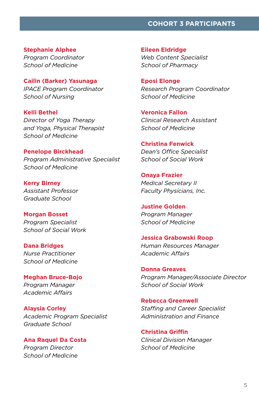# **COHORT 3 PARTICIPANTS**

**Stephanie Alphee**

*Program Coordinator School of Medicine*

**Cailin (Barker) Yasunaga** *IPACE Program Coordinator School of Nursing*

**Kelli Bethel** *Director of Yoga Therapy and Yoga, Physical Therapist School of Medicine*

**Penelope Birckhead** *Program Administrative Specialist School of Medicine*

**Kerry Birney** *Assistant Professor Graduate School*

**Morgan Bosset** *Program Specialist School of Social Work*

**Dana Bridges** *Nurse Practitioner School of Medicine*

**Meghan Bruce-Bojo** *Program Manager Academic Affairs*

**Alaysia Corley** *Academic Program Specialist Graduate School*

**Ana Raquel Da Costa** *Program Director School of Medicine*

**Eileen Eldridge** *Web Content Specialist School of Pharmacy*

**Eposi Elonge** *Research Program Coordinator School of Medicine*

**Veronica Fallon** *Clinical Research Assistant School of Medicine*

**Christina Fenwick** *Dean's Office Specialist School of Social Work*

**Onaya Frazier** *Medical Secretary II Faculty Physicians, Inc.*

**Justine Golden** *Program Manager School of Medicine*

**Jessica Grabowski Roop** *Human Resources Manager Academic Affairs*

**Donna Greaves** *Program Manager/Associate Director School of Social Work*

**Rebecca Greenwell** *Staffing and Career Specialist Administration and Finance*

**Christina Griffin** *Clinical Division Manager School of Medicine*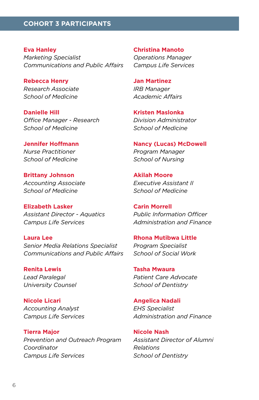# **COHORT 3 PARTICIPANTS**

**Eva Hanley** *Marketing Specialist Communications and Public Affairs*

**Rebecca Henry** *Research Associate School of Medicine*

**Danielle Hill** *Office Manager - Research School of Medicine*

**Jennifer Hoffmann** *Nurse Practitioner School of Medicine*

**Brittany Johnson** *Accounting Associate School of Medicine*

**Elizabeth Lasker** *Assistant Director - Aquatics Campus Life Services*

**Laura Lee** *Senior Media Relations Specialist Communications and Public Affairs*

**Renita Lewis** *Lead Paralegal University Counsel*

**Nicole Licari** *Accounting Analyst Campus Life Services*

**Tierra Major** *Prevention and Outreach Program Coordinator Campus Life Services*

**Christina Manoto** *Operations Manager Campus Life Services*

**Jan Martinez** *IRB Manager Academic Affairs*

**Kristen Maslonka** *Division Administrator School of Medicine*

**Nancy (Lucas) McDowell** *Program Manager School of Nursing*

**Akilah Moore** *Executive Assistant II School of Medicine*

**Carin Morrell** *Public Information Officer Administration and Finance*

**Rhona Mutibwa Little** *Program Specialist School of Social Work*

**Tasha Mwaura** *Patient Care Advocate School of Dentistry*

**Angelica Nadali** *EHS Specialist Administration and Finance*

**Nicole Nash** *Assistant Director of Alumni Relations School of Dentistry*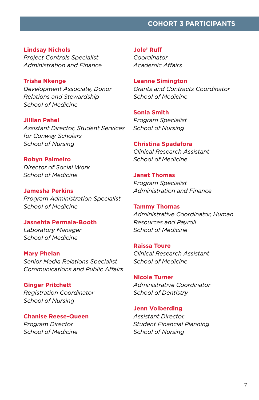# **COHORT 3 PARTICIPANTS**

**Lindsay Nichols** *Project Controls Specialist Administration and Finance*

**Trisha Nkenge** *Development Associate, Donor Relations and Stewardship School of Medicine*

**Jillian Pahel** *Assistant Director, Student Services for Conway Scholars School of Nursing*

**Robyn Palmeiro** *Director of Social Work School of Medicine*

**Jamesha Perkins** *Program Administration Specialist School of Medicine*

**Jasnehta Permala-Booth** *Laboratory Manager School of Medicine*

**Mary Phelan** *Senior Media Relations Specialist Communications and Public Affairs*

**Ginger Pritchett** *Registration Coordinator School of Nursing*

**Chanise Reese-Queen** *Program Director School of Medicine*

**Jole' Ruff** *Coordinator Academic Affairs*

**Leanne Simington** *Grants and Contracts Coordinator School of Medicine*

**Sonia Smith** *Program Specialist School of Nursing*

# **Christina Spadafora** *Clinical Research Assistant*

*School of Medicine*

**Janet Thomas** *Program Specialist Administration and Finance*

**Tammy Thomas** *Administrative Coordinator, Human Resources and Payroll School of Medicine*

**Raissa Toure** *Clinical Research Assistant School of Medicine*

**Nicole Turner** *Administrative Coordinator School of Dentistry*

**Jenn Volberding**  *Assistant Director, Student Financial Planning School of Nursing*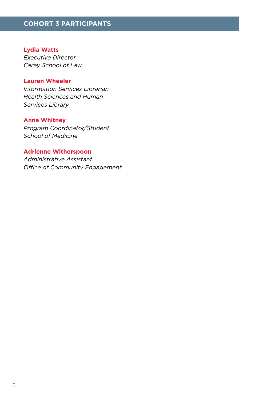# **Lydia Watts**

*Executive Director Carey School of Law*

# **Lauren Wheeler**

*Information Services Librarian Health Sciences and Human Services Library*

# **Anna Whitney**

*Program Coordinator/Student School of Medicine*

# **Adrienne Witherspoon**

*Administrative Assistant Office of Community Engagement*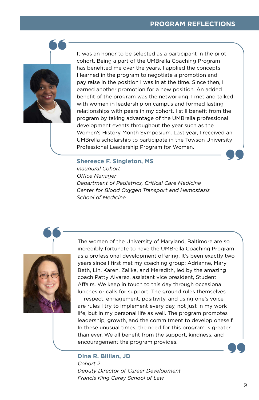# **PROGRAM REFLECTIONS**



It was an honor to be selected as a participant in the pilot cohort. Being a part of the UMBrella Coaching Program has benefited me over the years. I applied the concepts I learned in the program to negotiate a promotion and pay raise in the position I was in at the time. Since then, I earned another promotion for a new position. An added benefit of the program was the networking. I met and talked with women in leadership on campus and formed lasting relationships with peers in my cohort. I still benefit from the program by taking advantage of the UMBrella professional development events throughout the year such as the Women's History Month Symposium. Last year, I received an UMBrella scholarship to participate in the Towson University Professional Leadership Program for Women.

# **Shereece F. Singleton, MS**

*Inaugural Cohort Office Manager Department of Pediatrics, Critical Care Medicine Center for Blood Oxygen Transport and Hemostasis School of Medicine*



The women of the University of Maryland, Baltimore are so incredibly fortunate to have the UMBrella Coaching Program as a professional development offering. It's been exactly two years since I first met my coaching group: Adrianne, Mary Beth, Lin, Karen, Zalika, and Meredith, led by the amazing coach Patty Alvarez, assistant vice president, Student Affairs. We keep in touch to this day through occasional lunches or calls for support. The ground rules themselves — respect, engagement, positivity, and using one's voice are rules I try to implement every day, not just in my work life, but in my personal life as well. The program promotes leadership, growth, and the commitment to develop oneself. In these unusual times, the need for this program is greater than ever. We all benefit from the support, kindness, and encouragement the program provides.

# **Dina R. Billian, JD** *Cohort 2 Deputy Director of Career Development Francis King Carey School of Law*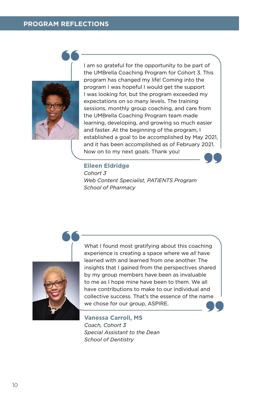# **PROGRAM REFLECTIONS**



I am so grateful for the opportunity to be part of the UMBrella Coaching Program for Cohort 3. This program has changed my life! Coming into the program I was hopeful I would get the support I was looking for, but the program exceeded my expectations on so many levels. The training sessions, monthly group coaching, and care from the UMBrella Coaching Program team made learning, developing, and growing so much easier and faster. At the beginning of the program, I established a goal to be accomplished by May 2021, and it has been accomplished as of February 2021. Now on to my next goals. Thank you!

# **Eileen Eldridge**

*Cohort 3 Web Content Specialist, PATIENTS Program School of Pharmacy*



What I found most gratifying about this coaching experience is creating a space where we *all* have learned with and learned from one another. The insights that I gained from the perspectives shared by my group members have been as invaluable to me as I hope mine have been to them. We all have contributions to make to our individual and collective success. That's the essence of the name we chose for our group, ASPIRE.

**Vanessa Carroll, MS** *Coach, Cohort 3 Special Assistant to the Dean School of Dentistry*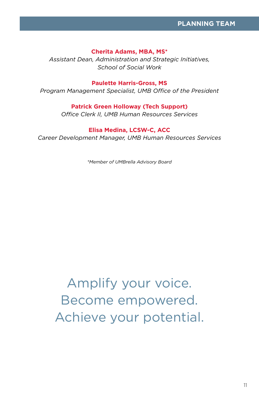## **Cherita Adams, MBA, MS\***

*Assistant Dean, Administration and Strategic Initiatives, School of Social Work*

## **Paulette Harris-Gross, MS**

*Program Management Specialist, UMB Office of the President*

# **Patrick Green Holloway (Tech Support)**

*Office Clerk II, UMB Human Resources Services*

# **Elisa Medina, LCSW-C, ACC**

*Career Development Manager, UMB Human Resources Services*

*\*Member of UMBrella Advisory Board*

Amplify your voice. Become empowered. Achieve your potential.